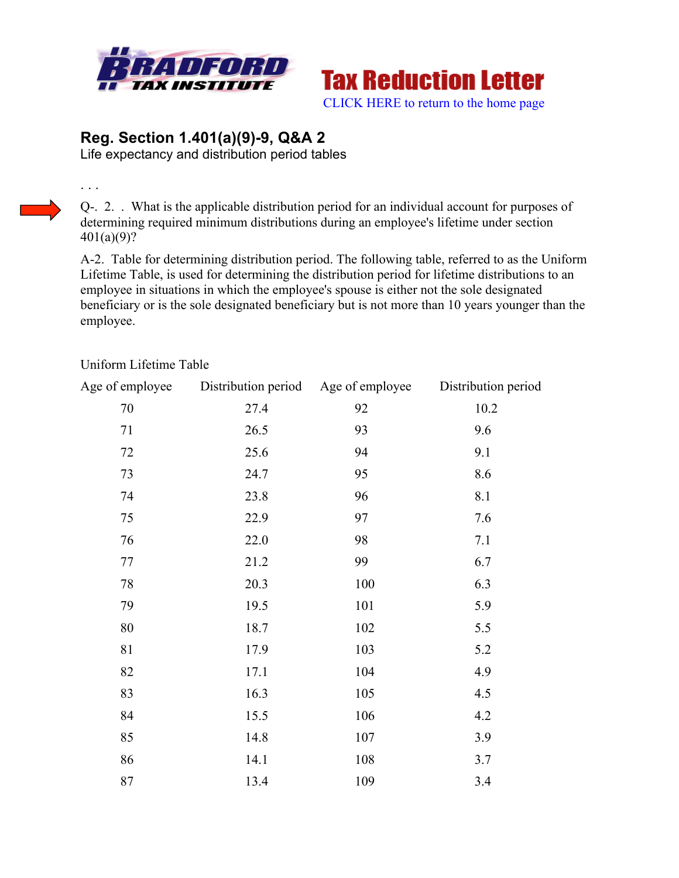



## **Reg. Section 1.401(a)(9)-9, Q&A 2**

Life expectancy and distribution period tables

Q-. 2. . What is the applicable distribution period for an individual account for purposes of determining required minimum distributions during an employee's lifetime under section 401(a)(9)?

A-2. Table for determining distribution period. The following table, referred to as the Uniform Lifetime Table, is used for determining the distribution period for lifetime distributions to an employee in situations in which the employee's spouse is either not the sole designated beneficiary or is the sole designated beneficiary but is not more than 10 years younger than the employee.

| Age of employee | Distribution period Age of employee |     | Distribution period |
|-----------------|-------------------------------------|-----|---------------------|
| 70              | 27.4                                | 92  | 10.2                |
| 71              | 26.5                                | 93  | 9.6                 |
| 72              | 25.6                                | 94  | 9.1                 |
| 73              | 24.7                                | 95  | 8.6                 |
| 74              | 23.8                                | 96  | 8.1                 |
| 75              | 22.9                                | 97  | 7.6                 |
| 76              | 22.0                                | 98  | 7.1                 |
| 77              | 21.2                                | 99  | 6.7                 |
| 78              | 20.3                                | 100 | 6.3                 |
| 79              | 19.5                                | 101 | 5.9                 |
| 80              | 18.7                                | 102 | 5.5                 |
| 81              | 17.9                                | 103 | 5.2                 |
| 82              | 17.1                                | 104 | 4.9                 |
| 83              | 16.3                                | 105 | 4.5                 |
| 84              | 15.5                                | 106 | 4.2                 |
| 85              | 14.8                                | 107 | 3.9                 |
| 86              | 14.1                                | 108 | 3.7                 |
| 87              | 13.4                                | 109 | 3.4                 |

## Uniform Lifetime Table

. . .